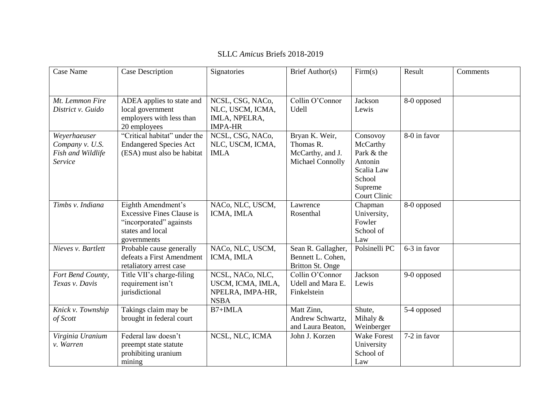| Case Name                     | Case Description                                            | Signatories                     | Brief Author(s)                | Firm(s)               | Result       | Comments |
|-------------------------------|-------------------------------------------------------------|---------------------------------|--------------------------------|-----------------------|--------------|----------|
|                               |                                                             |                                 |                                |                       |              |          |
| Mt. Lemmon Fire               | ADEA applies to state and                                   | NCSL, CSG, NACo,                | Collin O'Connor                | Jackson               | 8-0 opposed  |          |
| District v. Guido             | local government                                            | NLC, USCM, ICMA,                | Udell                          | Lewis                 |              |          |
|                               | employers with less than                                    | IMLA, NPELRA,<br><b>IMPA-HR</b> |                                |                       |              |          |
| Weyerhaeuser                  | 20 employees<br>"Critical habitat" under the                | NCSL, CSG, NACo,                | Bryan K. Weir,                 | Consovoy              | 8-0 in favor |          |
| Company v. U.S.               | <b>Endangered Species Act</b>                               | NLC, USCM, ICMA,                | Thomas R.                      | McCarthy              |              |          |
| Fish and Wildlife             | (ESA) must also be habitat                                  | <b>IMLA</b>                     | McCarthy, and J.               | Park & the            |              |          |
| Service                       |                                                             |                                 | Michael Connolly               | Antonin               |              |          |
|                               |                                                             |                                 |                                | Scalia Law            |              |          |
|                               |                                                             |                                 |                                | School                |              |          |
|                               |                                                             |                                 |                                | Supreme               |              |          |
|                               |                                                             |                                 |                                | <b>Court Clinic</b>   |              |          |
| Timbs v. Indiana              | Eighth Amendment's                                          | NACo, NLC, USCM,                | Lawrence                       | Chapman               | 8-0 opposed  |          |
|                               | <b>Excessive Fines Clause is</b><br>"incorporated" againsts | ICMA, IMLA                      | Rosenthal                      | University,<br>Fowler |              |          |
|                               | states and local                                            |                                 |                                | School of             |              |          |
|                               | governments                                                 |                                 |                                | Law                   |              |          |
| Nieves v. Bartlett            | Probable cause generally                                    | NACo, NLC, USCM,                | Sean R. Gallagher,             | Polsinelli PC         | 6-3 in favor |          |
|                               | defeats a First Amendment                                   | ICMA, IMLA                      | Bennett L. Cohen,              |                       |              |          |
|                               | retaliatory arrest case                                     |                                 | Britton St. Onge               |                       |              |          |
| Fort Bend County,             | Title VII's charge-filing                                   | NCSL, NACo, NLC,                | Collin O'Connor                | Jackson               | 9-0 opposed  |          |
| Texas v. Davis                | requirement isn't                                           | USCM, ICMA, IMLA,               | Udell and Mara E.              | Lewis                 |              |          |
|                               | jurisdictional                                              | NPELRA, IMPA-HR,                | Finkelstein                    |                       |              |          |
|                               |                                                             | <b>NSBA</b>                     |                                |                       |              |          |
| Knick v. Township<br>of Scott | Takings claim may be<br>brought in federal court            | B7+IMLA                         | Matt Zinn,<br>Andrew Schwartz, | Shute,<br>Mihaly $&$  | 5-4 opposed  |          |
|                               |                                                             |                                 | and Laura Beaton,              | Weinberger            |              |          |
| Virginia Uranium              | Federal law doesn't                                         | NCSL, NLC, ICMA                 | John J. Korzen                 | <b>Wake Forest</b>    | 7-2 in favor |          |
| v. Warren                     | preempt state statute                                       |                                 |                                | University            |              |          |
|                               | prohibiting uranium                                         |                                 |                                | School of             |              |          |
|                               | mining                                                      |                                 |                                | Law                   |              |          |